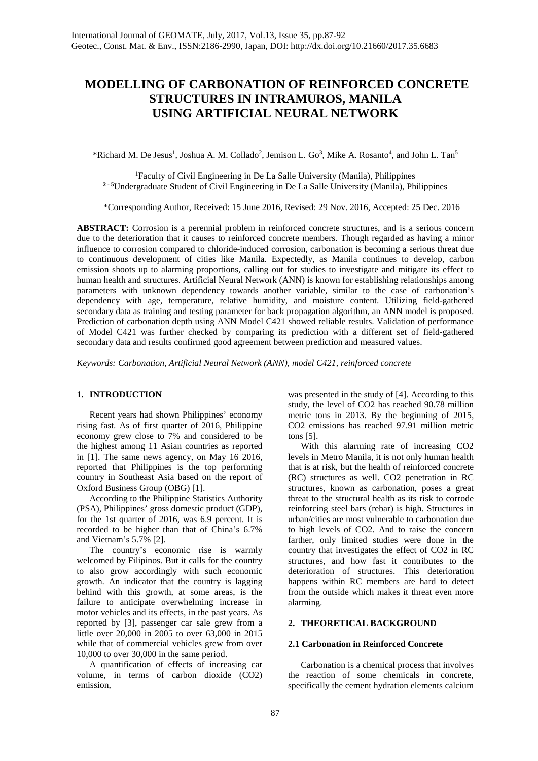# **MODELLING OF CARBONATION OF REINFORCED CONCRETE STRUCTURES IN INTRAMUROS, MANILA USING ARTIFICIAL NEURAL NETWORK**

\*Richard M. De Jesus<sup>1</sup>, Joshua A. M. Collado<sup>2</sup>, Jemison L. Go<sup>3</sup>, Mike A. Rosanto<sup>4</sup>, and John L. Tan<sup>5</sup>

1 Faculty of Civil Engineering in De La Salle University (Manila), Philippines **2 - 5** Undergraduate Student of Civil Engineering in De La Salle University (Manila), Philippines

\*Corresponding Author, Received: 15 June 2016, Revised: 29 Nov. 2016, Accepted: 25 Dec. 2016

**ABSTRACT:** Corrosion is a perennial problem in reinforced concrete structures, and is a serious concern due to the deterioration that it causes to reinforced concrete members. Though regarded as having a minor influence to corrosion compared to chloride-induced corrosion, carbonation is becoming a serious threat due to continuous development of cities like Manila. Expectedly, as Manila continues to develop, carbon emission shoots up to alarming proportions, calling out for studies to investigate and mitigate its effect to human health and structures. Artificial Neural Network (ANN) is known for establishing relationships among parameters with unknown dependency towards another variable, similar to the case of carbonation's dependency with age, temperature, relative humidity, and moisture content. Utilizing field-gathered secondary data as training and testing parameter for back propagation algorithm, an ANN model is proposed. Prediction of carbonation depth using ANN Model C421 showed reliable results. Validation of performance of Model C421 was further checked by comparing its prediction with a different set of field-gathered secondary data and results confirmed good agreement between prediction and measured values.

*Keywords: Carbonation, Artificial Neural Network (ANN), model C421, reinforced concrete*

## **1. INTRODUCTION**

Recent years had shown Philippines' economy rising fast. As of first quarter of 2016, Philippine economy grew close to 7% and considered to be the highest among 11 Asian countries as reported in [1]. The same news agency, on May 16 2016, reported that Philippines is the top performing country in Southeast Asia based on the report of Oxford Business Group (OBG) [1].

According to the Philippine Statistics Authority (PSA), Philippines' gross domestic product (GDP), for the 1st quarter of 2016, was 6.9 percent. It is recorded to be higher than that of China's 6.7% and Vietnam's 5.7% [2].

The country's economic rise is warmly welcomed by Filipinos. But it calls for the country to also grow accordingly with such economic growth. An indicator that the country is lagging behind with this growth, at some areas, is the failure to anticipate overwhelming increase in motor vehicles and its effects, in the past years. As reported by [3], passenger car sale grew from a little over 20,000 in 2005 to over 63,000 in 2015 while that of commercial vehicles grew from over 10,000 to over 30,000 in the same period.

A quantification of effects of increasing car volume, in terms of carbon dioxide (CO2) emission,

was presented in the study of [4]. According to this study, the level of CO2 has reached 90.78 million metric tons in 2013. By the beginning of 2015, CO2 emissions has reached 97.91 million metric tons [5].

With this alarming rate of increasing CO2 levels in Metro Manila, it is not only human health that is at risk, but the health of reinforced concrete (RC) structures as well. CO2 penetration in RC structures, known as carbonation, poses a great threat to the structural health as its risk to corrode reinforcing steel bars (rebar) is high. Structures in urban/cities are most vulnerable to carbonation due to high levels of CO2. And to raise the concern farther, only limited studies were done in the country that investigates the effect of CO2 in RC structures, and how fast it contributes to the deterioration of structures. This deterioration happens within RC members are hard to detect from the outside which makes it threat even more alarming.

## **2. THEORETICAL BACKGROUND**

#### **2.1 Carbonation in Reinforced Concrete**

Carbonation is a chemical process that involves the reaction of some chemicals in concrete, specifically the cement hydration elements calcium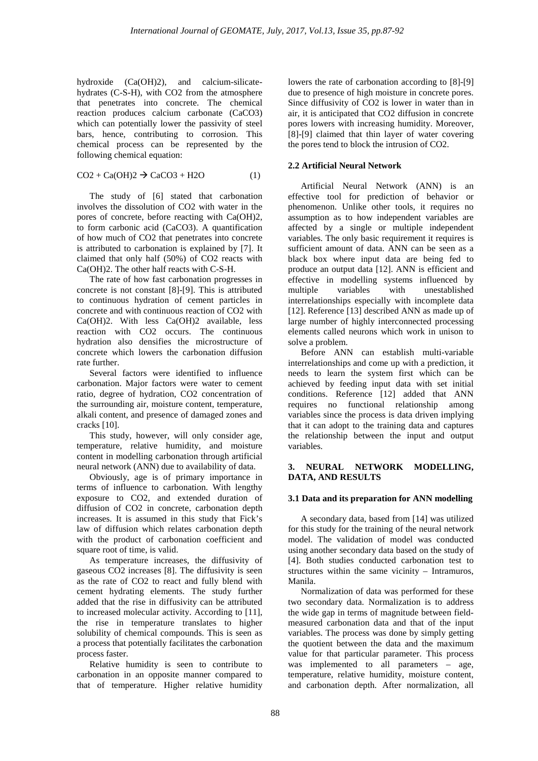hydroxide (Ca(OH)2), and calcium-silicatehydrates (C-S-H), with CO2 from the atmosphere that penetrates into concrete. The chemical reaction produces calcium carbonate (CaCO3) which can potentially lower the passivity of steel bars, hence, contributing to corrosion. This chemical process can be represented by the following chemical equation:

$$
CO2 + Ca(OH)2 \rightarrow CaCO3 + H2O
$$
 (1)

The study of [6] stated that carbonation involves the dissolution of CO2 with water in the pores of concrete, before reacting with Ca(OH)2, to form carbonic acid (CaCO3). A quantification of how much of CO2 that penetrates into concrete is attributed to carbonation is explained by [7]. It claimed that only half (50%) of CO2 reacts with Ca(OH)2. The other half reacts with C-S-H.

The rate of how fast carbonation progresses in concrete is not constant [8]-[9]. This is attributed to continuous hydration of cement particles in concrete and with continuous reaction of CO2 with Ca(OH)2. With less Ca(OH)2 available, less reaction with CO2 occurs. The continuous hydration also densifies the microstructure of concrete which lowers the carbonation diffusion rate further.

Several factors were identified to influence carbonation. Major factors were water to cement ratio, degree of hydration, CO2 concentration of the surrounding air, moisture content, temperature, alkali content, and presence of damaged zones and cracks [10].

This study, however, will only consider age, temperature, relative humidity, and moisture content in modelling carbonation through artificial neural network (ANN) due to availability of data.

Obviously, age is of primary importance in terms of influence to carbonation. With lengthy exposure to CO2, and extended duration of diffusion of CO2 in concrete, carbonation depth increases. It is assumed in this study that Fick's law of diffusion which relates carbonation depth with the product of carbonation coefficient and square root of time, is valid.

As temperature increases, the diffusivity of gaseous CO2 increases [8]. The diffusivity is seen as the rate of CO2 to react and fully blend with cement hydrating elements. The study further added that the rise in diffusivity can be attributed to increased molecular activity. According to [11], the rise in temperature translates to higher solubility of chemical compounds. This is seen as a process that potentially facilitates the carbonation process faster.

Relative humidity is seen to contribute to carbonation in an opposite manner compared to that of temperature. Higher relative humidity lowers the rate of carbonation according to [8]-[9] due to presence of high moisture in concrete pores. Since diffusivity of CO2 is lower in water than in air, it is anticipated that CO2 diffusion in concrete pores lowers with increasing humidity. Moreover, [8]-[9] claimed that thin layer of water covering the pores tend to block the intrusion of CO2.

## **2.2 Artificial Neural Network**

Artificial Neural Network (ANN) is an effective tool for prediction of behavior or phenomenon. Unlike other tools, it requires no assumption as to how independent variables are affected by a single or multiple independent variables. The only basic requirement it requires is sufficient amount of data. ANN can be seen as a black box where input data are being fed to produce an output data [12]. ANN is efficient and effective in modelling systems influenced by multiple variables with unestablished interrelationships especially with incomplete data [12]. Reference [13] described ANN as made up of large number of highly interconnected processing elements called neurons which work in unison to solve a problem.

Before ANN can establish multi-variable interrelationships and come up with a prediction, it needs to learn the system first which can be achieved by feeding input data with set initial conditions. Reference [12] added that ANN requires no functional relationship among variables since the process is data driven implying that it can adopt to the training data and captures the relationship between the input and output variables.

## **3. NEURAL NETWORK MODELLING, DATA, AND RESULTS**

## **3.1 Data and its preparation for ANN modelling**

A secondary data, based from [14] was utilized for this study for the training of the neural network model. The validation of model was conducted using another secondary data based on the study of [4]. Both studies conducted carbonation test to structures within the same vicinity – Intramuros, Manila.

Normalization of data was performed for these two secondary data. Normalization is to address the wide gap in terms of magnitude between fieldmeasured carbonation data and that of the input variables. The process was done by simply getting the quotient between the data and the maximum value for that particular parameter. This process was implemented to all parameters – age, temperature, relative humidity, moisture content, and carbonation depth. After normalization, all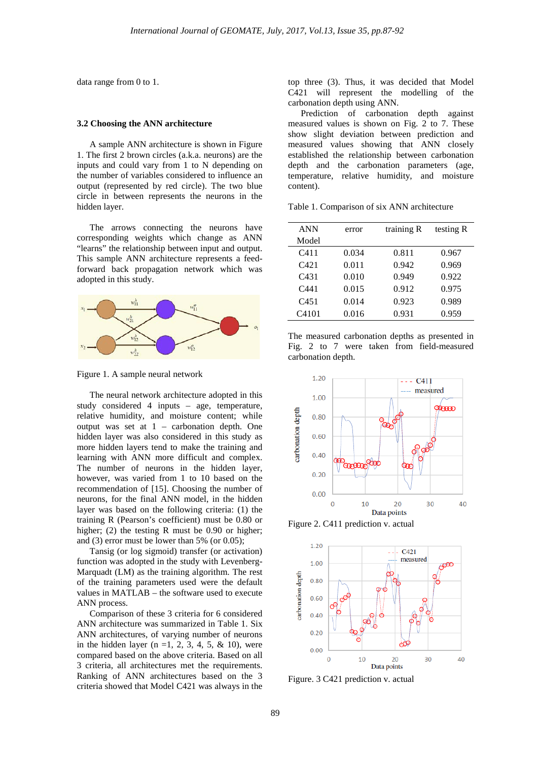data range from 0 to 1.

#### **3.2 Choosing the ANN architecture**

A sample ANN architecture is shown in Figure 1. The first 2 brown circles (a.k.a. neurons) are the inputs and could vary from 1 to N depending on the number of variables considered to influence an output (represented by red circle). The two blue circle in between represents the neurons in the hidden layer.

The arrows connecting the neurons have corresponding weights which change as ANN "learns" the relationship between input and output. This sample ANN architecture represents a feedforward back propagation network which was adopted in this study.



Figure 1. A sample neural network

The neural network architecture adopted in this study considered 4 inputs – age, temperature, relative humidity, and moisture content; while output was set at 1 – carbonation depth. One hidden layer was also considered in this study as more hidden layers tend to make the training and learning with ANN more difficult and complex. The number of neurons in the hidden layer, however, was varied from 1 to 10 based on the recommendation of [15]. Choosing the number of neurons, for the final ANN model, in the hidden layer was based on the following criteria: (1) the training R (Pearson's coefficient) must be 0.80 or higher; (2) the testing R must be 0.90 or higher; and (3) error must be lower than 5% (or 0.05);

Tansig (or log sigmoid) transfer (or activation) function was adopted in the study with Levenberg-Marquadt (LM) as the training algorithm. The rest of the training parameters used were the default values in MATLAB – the software used to execute ANN process.

Comparison of these 3 criteria for 6 considered ANN architecture was summarized in Table 1. Six ANN architectures, of varying number of neurons in the hidden layer ( $n = 1, 2, 3, 4, 5, \& 10$ ), were compared based on the above criteria. Based on all 3 criteria, all architectures met the requirements. Ranking of ANN architectures based on the 3 criteria showed that Model C421 was always in the

top three (3). Thus, it was decided that Model C421 will represent the modelling of the carbonation depth using ANN.

Prediction of carbonation depth against measured values is shown on Fig. 2 to 7. These show slight deviation between prediction and measured values showing that ANN closely established the relationship between carbonation depth and the carbonation parameters (age, temperature, relative humidity, and moisture content).

Table 1. Comparison of six ANN architecture

| <b>ANN</b>       | error | training R | testing R |
|------------------|-------|------------|-----------|
| Model            |       |            |           |
| C <sub>411</sub> | 0.034 | 0.811      | 0.967     |
| $C_{421}$        | 0.011 | 0.942      | 0.969     |
| C431             | 0.010 | 0.949      | 0.922     |
| C441             | 0.015 | 0.912      | 0.975     |
| C <sub>451</sub> | 0.014 | 0.923      | 0.989     |
| C4101            | 0.016 | 0.931      | 0.959     |





Figure 2. C411 prediction v. actual



Figure. 3 C421 prediction v. actual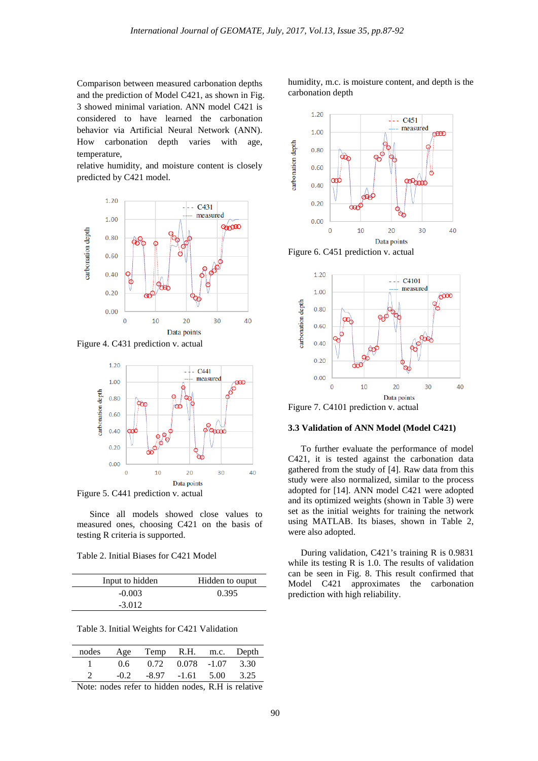Comparison between measured carbonation depths and the prediction of Model C421, as shown in Fig. 3 showed minimal variation. ANN model C421 is considered to have learned the carbonation behavior via Artificial Neural Network (ANN). How carbonation depth varies with age, temperature,

relative humidity, and moisture content is closely predicted by C421 model.



Figure 4. C431 prediction v. actual



Since all models showed close values to measured ones, choosing C421 on the basis of testing R criteria is supported.

Table 2. Initial Biases for C421 Model

| Input to hidden | Hidden to ouput |
|-----------------|-----------------|
| $-0.003$        | 0.395           |
| $-3.012$        |                 |

Table 3. Initial Weights for C421 Validation

|         | nodes Age Temp R.H. m.c. Depth |                               |      |
|---------|--------------------------------|-------------------------------|------|
| 06.     |                                | $0.72$ $0.078$ $-1.07$ $3.30$ |      |
| $-()$ 2 |                                | $-8.97$ $-1.61$ 5.00          | 3.25 |

Note: nodes refer to hidden nodes, R.H is relative

humidity, m.c. is moisture content, and depth is the carbonation depth



Figure 6. C451 prediction v. actual



Figure 7. C4101 prediction v. actual

#### **3.3 Validation of ANN Model (Model C421)**

To further evaluate the performance of model C421, it is tested against the carbonation data gathered from the study of [4]. Raw data from this study were also normalized, similar to the process adopted for [14]. ANN model C421 were adopted and its optimized weights (shown in Table 3) were set as the initial weights for training the network using MATLAB. Its biases, shown in Table 2, were also adopted.

During validation, C421's training R is 0.9831 while its testing R is 1.0. The results of validation can be seen in Fig. 8. This result confirmed that Model C421 approximates the carbonation prediction with high reliability.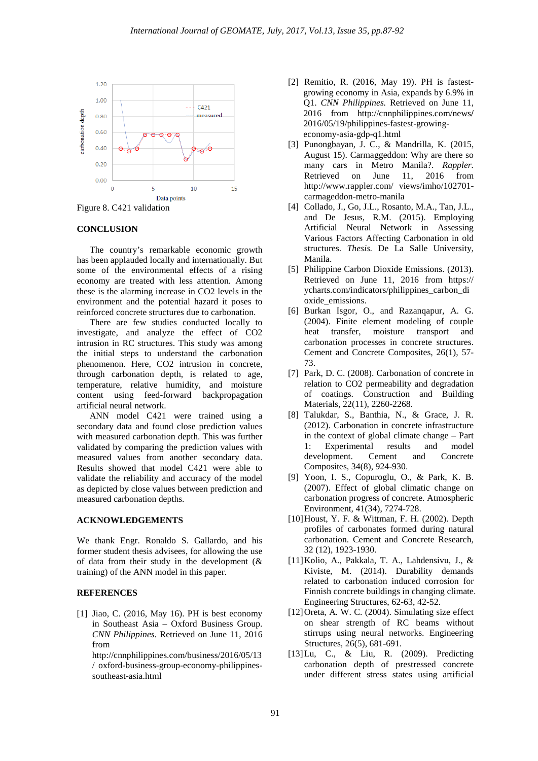

Figure 8. C421 validation

#### **CONCLUSION**

The country's remarkable economic growth has been applauded locally and internationally. But some of the environmental effects of a rising economy are treated with less attention. Among these is the alarming increase in CO2 levels in the environment and the potential hazard it poses to reinforced concrete structures due to carbonation.

There are few studies conducted locally to investigate, and analyze the effect of CO2 intrusion in RC structures. This study was among the initial steps to understand the carbonation phenomenon. Here, CO2 intrusion in concrete, through carbonation depth, is related to age, temperature, relative humidity, and moisture content using feed-forward backpropagation artificial neural network.

ANN model C421 were trained using a secondary data and found close prediction values with measured carbonation depth. This was further validated by comparing the prediction values with measured values from another secondary data. Results showed that model C421 were able to validate the reliability and accuracy of the model as depicted by close values between prediction and measured carbonation depths.

### **ACKNOWLEDGEMENTS**

We thank Engr. Ronaldo S. Gallardo, and his former student thesis advisees, for allowing the use of data from their study in the development (& training) of the ANN model in this paper.

#### **REFERENCES**

[1] Jiao, C. (2016, May 16). PH is best economy in Southeast Asia – Oxford Business Group. *CNN Philippines.* Retrieved on June 11, 2016 from

http://cnnphilippines.com/business/2016/05/13 / oxford-business-group-economy-philippinessoutheast-asia.html

- [2] Remitio, R. (2016, May 19). PH is fastestgrowing economy in Asia, expands by 6.9% in Q1. *CNN Philippines.* Retrieved on June 11, 2016 from http://cnnphilippines.com/news**/** 2016/05/19/philippines-fastest-growingeconomy-asia-gdp-q1.html
- [3] Punongbayan, J. C., & Mandrilla, K. (2015, August 15). Carmaggeddon: Why are there so many cars in Metro Manila?. *Rappler.*  Retrieved on June 11, 2016 from http://www.rappler.com/ views/imho/102701 carmageddon-metro-manila
- [4] Collado, J., Go, J.L., Rosanto, M.A., Tan, J.L., and De Jesus, R.M. (2015). Employing Artificial Neural Network in Assessing Various Factors Affecting Carbonation in old structures. *Thesis.* De La Salle University, Manila.
- [5] Philippine Carbon Dioxide Emissions. (2013). Retrieved on June 11, 2016 from https:// ycharts.com/indicators/philippines\_carbon\_di oxide\_emissions.
- [6] Burkan Isgor, O., and Razanqapur, A. G. (2004). Finite element modeling of couple heat transfer, moisture transport and carbonation processes in concrete structures. Cement and Concrete Composites, 26(1), 57- 73.
- [7] Park, D. C. (2008). Carbonation of concrete in relation to CO2 permeability and degradation of coatings. Construction and Building Materials, 22(11), 2260-2268.
- [8] Talukdar, S., Banthia, N., & Grace, J. R. (2012). Carbonation in concrete infrastructure in the context of global climate change – Part 1: Experimental results and model development. Cement and Concrete Composites, 34(8), 924-930.
- [9] Yoon, I. S., Copuroglu, O., & Park, K. B. (2007). Effect of global climatic change on carbonation progress of concrete. Atmospheric Environment, 41(34), 7274-728.
- [10]Houst, Y. F. & Wittman, F. H. (2002). Depth profiles of carbonates formed during natural carbonation. Cement and Concrete Research, 32 (12), 1923-1930.
- [11]Kolio, A., Pakkala, T. A., Lahdensivu, J., & Kiviste, M. (2014). Durability demands related to carbonation induced corrosion for Finnish concrete buildings in changing climate. Engineering Structures, 62-63, 42-52.
- [12]Oreta, A. W. C. (2004). Simulating size effect on shear strength of RC beams without stirrups using neural networks. Engineering Structures, 26(5), 681-691.
- [13]Lu, C., & Liu, R. (2009). Predicting carbonation depth of prestressed concrete under different stress states using artificial